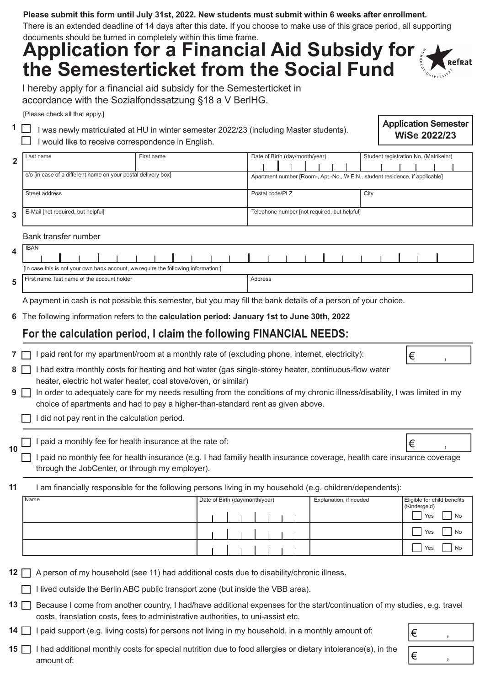#### **Please submit this form until July 31st, 2022. New students must submit within 6 weeks after enrollment.**

There is an extended deadline of 14 days after this date. If you choose to make use of this grace period, all supporting documents should be turned in completely within this time frame.

## **Application for a Financial Aid Subsidy for** Refrat **the Semesterticket from the Social Fund**

I hereby apply for a financial aid subsidy for the Semesterticket in accordance with the Sozialfondssatzung §18 a V BerlHG.

[Please check all that apply.]

**1**

 $\Box$  I was newly matriculated at HU in winter semester 2022/23 (including Master students).  $\Box$  I would like to receive correspondence in English.

#### **Application Semester WiSe 2022/23**

 $\epsilon$ 

€ ,

| $\mathbf{2}$ | Last name                                                     | First name | Date of Birth (day/month/year) |  |                                                                              |  |  |  |  |  | Student registration No. (Matrikelnr) |  |  |  |  |
|--------------|---------------------------------------------------------------|------------|--------------------------------|--|------------------------------------------------------------------------------|--|--|--|--|--|---------------------------------------|--|--|--|--|
|              | c/o [in case of a different name on your postal delivery box] |            |                                |  | Apartment number [Room-, Apt.-No., W.E.N., student residence, if applicable] |  |  |  |  |  |                                       |  |  |  |  |
|              | Street address                                                |            | Postal code/PLZ                |  |                                                                              |  |  |  |  |  | City                                  |  |  |  |  |
| 3            | E-Mail [not required, but helpful]                            |            |                                |  | Telephone number [not required, but helpful]                                 |  |  |  |  |  |                                       |  |  |  |  |

Bank transfer number

| л. | <b>IBAN</b>                                                                        |  |  |  |  |  |         |  |  |  |  |  |  |  |  |  |  |  |
|----|------------------------------------------------------------------------------------|--|--|--|--|--|---------|--|--|--|--|--|--|--|--|--|--|--|
|    | [In case this is not your own bank account, we require the following information:] |  |  |  |  |  |         |  |  |  |  |  |  |  |  |  |  |  |
|    | First name, last name of the account holder                                        |  |  |  |  |  | Address |  |  |  |  |  |  |  |  |  |  |  |

A payment in cash is not possible this semester, but you may fill the bank details of a person of your choice.

The following information refers to the **calculation period: January 1st to June 30th, 2022 6**

#### **For the calculation period, I claim the following FINANCIAL NEEDS:**

I paid rent for my apartment/room at a monthly rate of (excluding phone, internet, electricity): **7**

| $8\Box$ I had extra monthly costs for heating and hot water (gas single-storey heater, continuous-flow water |
|--------------------------------------------------------------------------------------------------------------|
| heater, electric hot water heater, coal stove/oven, or similar)                                              |

- **9** □ In order to adequately care for my needs resulting from the conditions of my chronic illness/disability, I was limited in my choice of apartments and had to pay a higher-than-standard rent as given above.
	- $\Box$  I did not pay rent in the calculation period.

I paid a monthly fee for health insurance at the rate of: **10**

 $\Box$  I paid no monthly fee for health insurance (e.g. I had familiy health insurance coverage, health care insurance coverage through the JobCenter, or through my employer).

I am financially responsible for the following persons living in my household (e.g. children/dependents): **11**

| Name | Date of Birth (day/month/year) |  |  |  | Explanation, if needed | Eligible for child benefits |
|------|--------------------------------|--|--|--|------------------------|-----------------------------|
|      |                                |  |  |  |                        | (Kindergeld)                |
|      |                                |  |  |  |                        | Yes<br>No                   |
|      |                                |  |  |  |                        | Yes<br>No                   |
|      |                                |  |  |  |                        | Yes<br>No                   |

12  $\Box$  A person of my household (see 11) had additional costs due to disability/chronic illness.

 $\Box$  I lived outside the Berlin ABC public transport zone (but inside the VBB area).

13 **Because I come from another country, I had/have additional expenses for the start/continuation of my studies, e.g. travel** costs, translation costs, fees to administrative authorities, to uni-assist etc.

14  $\Box$  I paid support (e.g. living costs) for persons not living in my household, in a monthly amount of:

15 **I** had additional monthly costs for special nutrition due to food allergies or dietary intolerance(s), in the amount of:

| €          |  |
|------------|--|
| $\epsilon$ |  |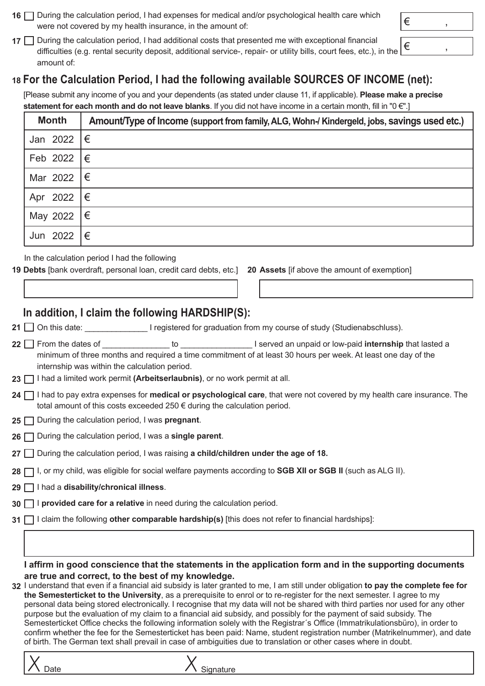- **16** □ During the calculation period, I had expenses for medical and/or psychological health care which were not covered by my health insurance, in the amount of:
- 17  $\Box$  During the calculation period, I had additional costs that presented me with exceptional financial difficulties (e.g. rental security deposit, additional service-, repair- or utility bills, court fees, etc.), in the amount of:

## **For the Calculation Period, I had the following available SOURCES OF INCOME (net): 18**

[Please submit any income of you and your dependents (as stated under clause 11, if applicable). **Please make a precise statement for each month and do not leave blanks**. If you did not have income in a certain month, fill in "0 €".]

| <b>Month</b>                    | Amount/Type of Income (support from family, ALG, Wohn-/ Kindergeld, jobs, savings used etc.) |
|---------------------------------|----------------------------------------------------------------------------------------------|
| Jan 2022 $ \epsilon$            |                                                                                              |
| Feb 2022 $\vert \epsilon \vert$ |                                                                                              |
| Mar 2022 $ \epsilon$            |                                                                                              |
| Apr 2022 $ \epsilon$            |                                                                                              |
| May 2022                        | ∣€                                                                                           |
| Jun 2022                        | €                                                                                            |

In the calculation period I had the following

19 Debts [bank overdraft, personal loan, credit card debts, etc.] 20 Assets [if above the amount of exemption]

### **In addition, I claim the following HARDSHIP(S):**

- **21**  $\Box$  On this date:  $\Box$  **Dependent on the Universe of Study** (Studienabschluss).
- from the dates of an unpaid or low-paid **internship** that lasted a minimum of three months and required a time commitment of at least 30 hours per week. At least one day of the internship was within the calculation period. **22** From the dates of
- **23**  $\Box$  I had a limited work permit (Arbeitserlaubnis), or no work permit at all.
- I had to pay extra expenses for **medical or psychological care**, that were not covered by my health care insurance. The **24** total amount of this costs exceeded 250 € during the calculation period.
- 25  $\Box$  During the calculation period, I was **pregnant**.
- **26** □ During the calculation period, I was a **single parent**.
- During the calculation period, I was raising **a child/children under the age of 18. 27**
- I, or my child, was eligible for social welfare payments according to **SGB XII or SGB II** (such as ALG II). **28**
- I had a **disability/chronical illness**. **29**
- I **provided care for a relative** in need during the calculation period. **30**
- I claim the following **other comparable hardship(s)** [this does not refer to financial hardships]: **31**

#### **I affirm in good conscience that the statements in the application form and in the supporting documents are true and correct, to the best of my knowledge.**

I understand that even if a financial aid subsidy is later granted to me, I am still under obligation **to pay the complete fee for 32 the Semesterticket to the University**, as a prerequisite to enrol or to reregister for the next semester. I agree to my personal data being stored electronically. I recognise that my data will not be shared with third parties nor used for any other purpose but the evaluation of my claim to a financial aid subsidy, and possibly for the payment of said subsidy. The Semesterticket Office checks the following information solely with the Registrar´s Office (Immatrikulationsbüro), in order to confirm whether the fee for the Semesterticket has been paid: Name, student registration number (Matrikelnummer), and date of birth. The German text shall prevail in case of ambiguities due to translation or other cases where in doubt.





 $\in$ 

€ ,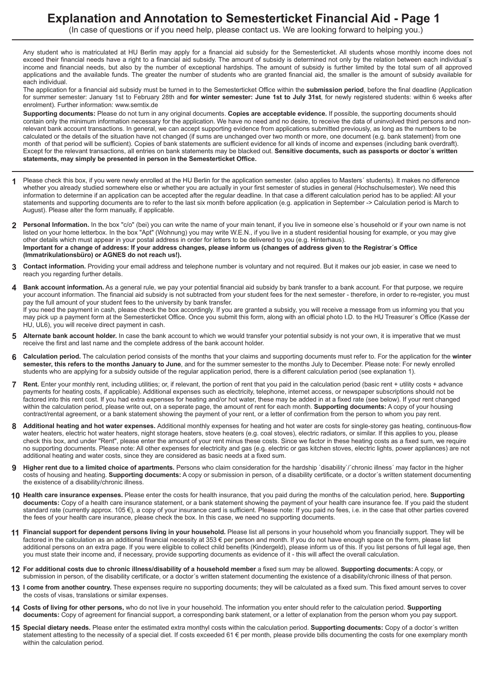### **Explanation and Annotation to Semesterticket Financial Aid Page 1**

(In case of questions or if you need help, please contact us. We are looking forward to helping you.)

Any student who is matriculated at HU Berlin may apply for a financial aid subsidy for the Semesterticket. All students whose monthly income does not exceed their financial needs have a right to a financial aid subsidy. The amount of subsidy is determined not only by the relation between each individual's income and financial needs, but also by the number of exceptional hardships. The amount of subsidy is further limited by the total sum of all approved applications and the available funds. The greater the number of students who are granted financial aid, the smaller is the amount of subsidy available for each individual.

The application for a financial aid subsidy must be turned in to the Semesterticket Office within the **submission period**, before the final deadline (Application for summer semester: January 1st to February 28th and **for winter semester: June 1st to July 31st**, for newly registered students: within 6 weeks after enrolment). Further information: www.semtix.de

**Supporting documents:** Please do not turn in any original documents. **Copies are acceptable evidence.** If possible, the supporting documents should contain only the minimum information necessary for the application. We have no need and no desire, to receive the data of uninvolved third persons and nonrelevant bank account transactions. In general, we can accept supporting evidence from applications submitted previously, as long as the numbers to be calculated or the details of the situation have not changed (if sums are unchanged over two month or more, one document (e.g. bank statement) from one month of that period will be sufficient). Copies of bank statements are sufficient evidence for all kinds of income and expenses (including bank overdraft). Except for the relevant transactions, all entries on bank statements may be blacked out. **Sensitive documents, such as passports or doctor´s written statements, may simply be presented in person in the Semesterticket Office.**

- Please check this box, if you were newly enrolled at the HU Berlin for the application semester. (also applies to Masters' students). It makes no difference whether you already studied somewhere else or whether you are actually in your first semester of studies in general (Hochschulsemester). We need this information to determine if an application can be accepted after the regular deadline. In that case a different calculation period has to be applied: All your statements and supporting documents are to refer to the last six month before application (e.g. application in September > Calculation period is March to August). Please alter the form manually, if applicable. **1**
- **Personal Information.** In the box "c/o" (bei) you can write the name of your main tenant, if you live in someone else´s household or if your own name is not **2** listed on your home letterbox. In the box "Apt" (Wohnung) you may write W.E.N., if you live in a student residential housing for example, or you may give other details which must appear in your postal address in order for letters to be delivered to you (e.g. Hinterhaus). Important for a change of address: If your address changes, please inform us (changes of address given to the Registrar's Office **(Immatrikulationsbüro) or AGNES do not reach us!).**
- **Contact information.** Providing your email address and telephone number is voluntary and not required. But it makes our job easier, in case we need to reach you regarding further details. **3**
- **Bank account information.** As a general rule, we pay your potential financial aid subsidy by bank transfer to a bank account. For that purpose, we require your account information. The financial aid subsidy is not subtracted from your student fees for the next semester - therefore, in order to re-register, you must pay the full amount of your student fees to the university by bank transfer. If you need the payment in cash, please check the box accordingly. If you are granted a subsidy, you will receive a message from us informing you that you may pick up a payment form at the Semesterticket Office. Once you submit this form, along with an official photo I.D. to the HU Treasurer´s Office (Kasse der HU, UL6), you will receive direct payment in cash. **4**
- **Alternate bank account holder.** In case the bank account to which we would transfer your potential subsidy is not your own, it is imperative that we must receive the first and last name and the complete address of the bank account holder. **5**
- **Calculation period.** The calculation period consists of the months that your claims and supporting documents must refer to. For the application for the **winter semester, this refers to the months January to June**, and for the summer semester to the months July to December. Please note: For newly enrolled students who are applying for a subsidy outside of the regular application period, there is a different calculation period (see explanation 1). **6**
- **Rent.** Enter your monthly rent, including utilities; or, if relevant, the portion of rent that you paid in the calculation period (basic rent + utility costs + advance payments for heating costs, if applicable). Additional expenses such as electricity, telephone, internet access, or newspaper subscriptions should not be factored into this rent cost. If you had extra expenses for heating and/or hot water, these may be added in at a fixed rate (see below). If your rent changed within the calculation period, please write out, on a seperate page, the amount of rent for each month. **Supporting documents:** A copy of your housing contract/rental agreement, or a bank statement showing the payment of your rent, or a letter of confirmation from the person to whom you pay rent. **7**
- Additional heating and hot water expenses. Additional monthly expenses for heating and hot water are costs for single-storey gas heating, continuous-flow water heaters, electric hot water heaters, night storage heaters, stove heaters (e.g. coal stoves), electric radiators, or similar. If this applies to you, please check this box, and under "Rent", please enter the amount of your rent minus these costs. Since we factor in these heating costs as a fixed sum, we require no supporting documents. Please note: All other expenses for electricity and gas (e.g. electric or gas kitchen stoves, electric lights, power appliances) are not additional heating and water costs, since they are considered as basic needs at a fixed sum. **8**
- **Higher rent due to a limited choice of apartments.** Persons who claim consideration for the hardship `disability`/´chronic illness´ may factor in the higher costs of housing and heating. **Supporting documents:** A copy or submission in person, of a disability certificate, or a doctor´s written statement documenting the existence of a disability/chronic illness. **9**
- **Health care insurance expenses.** Please enter the costs for health insurance, that you paid during the months of the calculation period, here. **Supporting 10 documents:** Copy of a health care insurance statement, or a bank statement showing the payment of your health care insurance fee. If you paid the student standard rate (currently approx. 105 €), a copy of your insurance card is sufficient. Please note: If you paid no fees, i.e. in the case that other parties covered the fees of your health care insurance, please check the box. In this case, we need no supporting documents.
- **Financial support for dependent persons living in your household.** Please list all persons in your household whom you financially support. They will be **11** factored in the calculation as an additional financial necessity at 353 € per person and month. If you do not have enough space on the form, please list additional persons on an extra page. If you were eligible to collect child benefits (Kindergeld), please inform us of this. If you list persons of full legal age, then you must state their income and, if necessary, provide supporting documents as evidence of it - this will affect the overall calculation.
- 12 For additional costs due to chronic illness/disability of a household member a fixed sum may be allowed. Supporting documents: A copy, or submission in person, of the disability certificate, or a doctor´s written statement documenting the existence of a disability/chronic illness of that person.
- **I come from another country.** These expenses require no supporting documents; they will be calculated as a fixed sum. This fixed amount serves to cover **13** the costs of visas, translations or similar expenses.
- **Costs of living for other persons,** who do not live in your household. The information you enter should refer to the calculation period. **Supporting 14 documents:** Copy of agreement for financial support, a corresponding bank statement, or a letter of explanation from the person whom you pay support.
- **Special dietary needs.** Please enter the estimated extra monthyl costs within the calculation period. **Supporting documents:** Copy of a doctor´s written **15** statement attesting to the necessity of a special diet. If costs exceeded 61 € per month, please provide bills documenting the costs for one exemplary month within the calculation period.